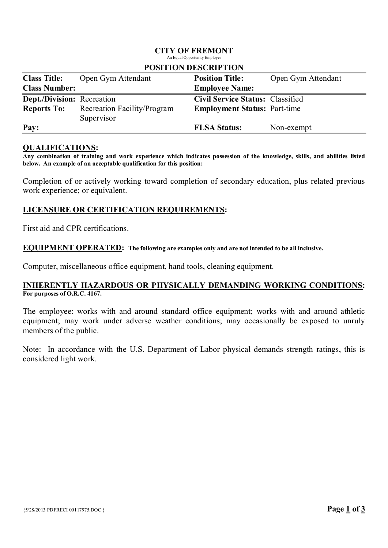## CITY OF FREMONT

An Equal Opportunity Employer

| <b>Class Title:</b>               | Open Gym Attendant          | <b>Position Title:</b>                  | Open Gym Attendant |  |  |
|-----------------------------------|-----------------------------|-----------------------------------------|--------------------|--|--|
| <b>Class Number:</b>              |                             | <b>Employee Name:</b>                   |                    |  |  |
| <b>Dept./Division:</b> Recreation |                             | <b>Civil Service Status: Classified</b> |                    |  |  |
| <b>Reports To:</b>                | Recreation Facility/Program | <b>Employment Status: Part-time</b>     |                    |  |  |
|                                   | Supervisor                  |                                         |                    |  |  |
| Pay:                              |                             | <b>FLSA Status:</b>                     | Non-exempt         |  |  |

#### POSITION DESCRIPTION

#### QUALIFICATIONS:

Any combination of training and work experience which indicates possession of the knowledge, skills, and abilities listed below. An example of an acceptable qualification for this position:

Completion of or actively working toward completion of secondary education, plus related previous work experience; or equivalent.

# LICENSURE OR CERTIFICATION REQUIREMENTS:

First aid and CPR certifications.

#### EQUIPMENT OPERATED: The following are examples only and are not intended to be all inclusive.

Computer, miscellaneous office equipment, hand tools, cleaning equipment.

## INHERENTLY HAZARDOUS OR PHYSICALLY DEMANDING WORKING CONDITIONS: For purposes of O.R.C. 4167.

The employee: works with and around standard office equipment; works with and around athletic equipment; may work under adverse weather conditions; may occasionally be exposed to unruly members of the public.

Note: In accordance with the U.S. Department of Labor physical demands strength ratings, this is considered light work.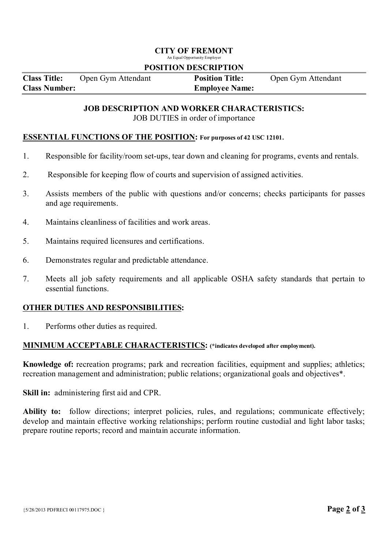## CITY OF FREMONT

An Equal Opportunity Employer

### POSITION DESCRIPTION

| <b>Class Title:</b>  | Open Gym Attendant | <b>Position Title:</b> | Open Gym Attendant |
|----------------------|--------------------|------------------------|--------------------|
| <b>Class Number:</b> |                    | <b>Employee Name:</b>  |                    |

### JOB DESCRIPTION AND WORKER CHARACTERISTICS: JOB DUTIES in order of importance

### ESSENTIAL FUNCTIONS OF THE POSITION: For purposes of 42 USC 12101.

- 1. Responsible for facility/room set-ups, tear down and cleaning for programs, events and rentals.
- 2. Responsible for keeping flow of courts and supervision of assigned activities.
- 3. Assists members of the public with questions and/or concerns; checks participants for passes and age requirements.
- 4. Maintains cleanliness of facilities and work areas.
- 5. Maintains required licensures and certifications.
- 6. Demonstrates regular and predictable attendance.
- 7. Meets all job safety requirements and all applicable OSHA safety standards that pertain to essential functions.

## OTHER DUTIES AND RESPONSIBILITIES:

1. Performs other duties as required.

#### MINIMUM ACCEPTABLE CHARACTERISTICS: (\*indicates developed after employment).

Knowledge of: recreation programs; park and recreation facilities, equipment and supplies; athletics; recreation management and administration; public relations; organizational goals and objectives\*.

Skill in: administering first aid and CPR.

Ability to: follow directions; interpret policies, rules, and regulations; communicate effectively; develop and maintain effective working relationships; perform routine custodial and light labor tasks; prepare routine reports; record and maintain accurate information.